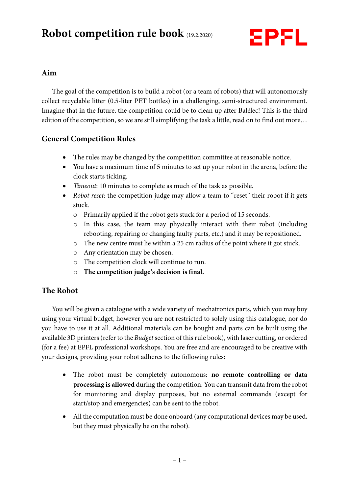# **Robot competition rule book** (19.2.2020)



## **Aim**

The goal of the competition is to build a robot (or a team of robots) that will autonomously collect recyclable litter (0.5-liter PET bottles) in a challenging, semi-structured environment. Imagine that in the future, the competition could be to clean up after Balélec! This is the third edition of the competition, so we are still simplifying the task a little, read on to find out more…

# **General Competition Rules**

- The rules may be changed by the competition committee at reasonable notice.
- You have a maximum time of 5 minutes to set up your robot in the arena, before the clock starts ticking.
- Timeout: 10 minutes to complete as much of the task as possible.
- Robot reset: the competition judge may allow a team to "reset" their robot if it gets stuck.
	- o Primarily applied if the robot gets stuck for a period of 15 seconds.
	- o In this case, the team may physically interact with their robot (including rebooting, repairing or changing faulty parts, etc.) and it may be repositioned.
	- o The new centre must lie within a 25 cm radius of the point where it got stuck.
	- o Any orientation may be chosen.
	- o The competition clock will continue to run.
	- o **The competition judge's decision is final.**

# **The Robot**

You will be given a catalogue with a wide variety of mechatronics parts, which you may buy using your virtual budget, however you are not restricted to solely using this catalogue, nor do you have to use it at all. Additional materials can be bought and parts can be built using the available 3D printers (refer to the Budget section of this rule book), with laser cutting, or ordered (for a fee) at EPFL professional workshops. You are free and are encouraged to be creative with your designs, providing your robot adheres to the following rules:

- The robot must be completely autonomous: **no remote controlling or data processing is allowed** during the competition. You can transmit data from the robot for monitoring and display purposes, but no external commands (except for start/stop and emergencies) can be sent to the robot.
- All the computation must be done onboard (any computational devices may be used, but they must physically be on the robot).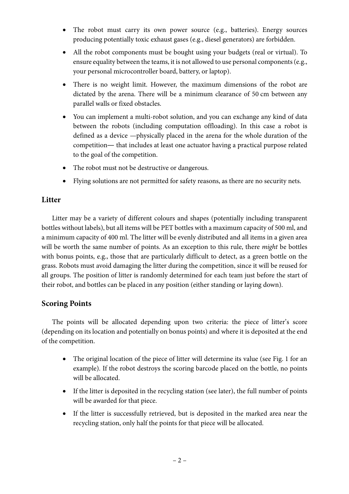- The robot must carry its own power source (e.g., batteries). Energy sources producing potentially toxic exhaust gases (e.g., diesel generators) are forbidden.
- All the robot components must be bought using your budgets (real or virtual). To ensure equality between the teams, it is not allowed to use personal components (e.g., your personal microcontroller board, battery, or laptop).
- There is no weight limit. However, the maximum dimensions of the robot are dictated by the arena. There will be a minimum clearance of 50 cm between any parallel walls or fixed obstacles.
- You can implement a multi-robot solution, and you can exchange any kind of data between the robots (including computation offloading). In this case a robot is defined as a device —physically placed in the arena for the whole duration of the competition— that includes at least one actuator having a practical purpose related to the goal of the competition.
- The robot must not be destructive or dangerous.
- Flying solutions are not permitted for safety reasons, as there are no security nets.

## **Litter**

Litter may be a variety of different colours and shapes (potentially including transparent bottles without labels), but all items will be PET bottles with a maximum capacity of 500 ml, and a minimum capacity of 400 ml. The litter will be evenly distributed and all items in a given area will be worth the same number of points. As an exception to this rule, there *might* be bottles with bonus points, e.g., those that are particularly difficult to detect, as a green bottle on the grass. Robots must avoid damaging the litter during the competition, since it will be reused for all groups. The position of litter is randomly determined for each team just before the start of their robot, and bottles can be placed in any position (either standing or laying down).

## **Scoring Points**

The points will be allocated depending upon two criteria: the piece of litter's score (depending on its location and potentially on bonus points) and where it is deposited at the end of the competition.

- The original location of the piece of litter will determine its value (see Fig. 1 for an example). If the robot destroys the scoring barcode placed on the bottle, no points will be allocated.
- If the litter is deposited in the recycling station (see later), the full number of points will be awarded for that piece.
- If the litter is successfully retrieved, but is deposited in the marked area near the recycling station, only half the points for that piece will be allocated.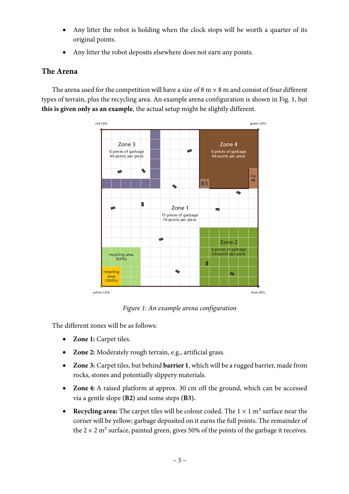- Any litter the robot is holding when the clock stops will be worth a quarter of its original points.
- Any litter the robot deposits elsewhere does not earn any points.

# **The Arena**

The arena used for the competition will have a size of  $8 \text{ m} \times 8 \text{ m}$  and consist of four different types of terrain, plus the recycling area. An example arena configuration is shown in Fig. 1, but **this is given only as an example**, the actual setup might be slightly different.



Figure 1: An example arena configuration

The different zones will be as follows:

- **Zone 1:** Carpet tiles.
- **Zone 2:** Moderately rough terrain, e.g., artificial grass.
- **Zone 3:** Carpet tiles, but behind **barrier 1**, which will be a rugged barrier, made from rocks, stones and potentially slippery materials.
- **Zone 4:** A raised platform at approx. 30 cm off the ground, which can be accessed via a gentle slope **(B2)** and some steps **(B3).**
- **Recycling area:** The carpet tiles will be colour coded. The  $1 \times 1$  m<sup>2</sup> surface near the corner will be yellow; garbage deposited on it earns the full points. The remainder of the  $2 \times 2$  m<sup>2</sup> surface, painted green, gives 50% of the points of the garbage it receives.